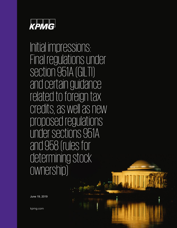

Initial impressions: Final regulations under section 951A (GILTI) and certain guidance related to foreign tax credits, as well as new proposed regulations under sections 951A and 958 (rules for determining stock ownership)

June 19, 2019

kpmg.com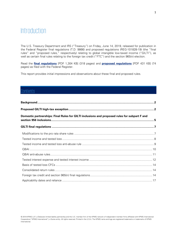## Introduction

The U.S. Treasury Department and IRS ("Treasury") on Friday, June 14, 2019, released for publication in the Federal Register final regulations (T.D. 9866) and proposed regulations (REG-101828-19) (the "final rules" and "proposed rules," respectively) relating to global intangible low-taxed income ("GILTI"), as well as certain final rules relating to the foreign tax credit ("FTC") and the section 965(n) election.

Read the **[final regulations](https://s3.amazonaws.com/public-inspection.federalregister.gov/2019-12437.pdf)** [PDF 1,304 KB] (318 pages) and **[proposed regulations](https://s3.amazonaws.com/public-inspection.federalregister.gov/2019-12436.pdf)** [PDF 431 KB] (74 pages) as filed with the Federal Register.

This report provides initial impressions and observations about these final and proposed rules.

#### **Contents**

| Domestic partnerships: Final Rules for GILTI inclusions and proposed rules for subpart F and |  |
|----------------------------------------------------------------------------------------------|--|
|                                                                                              |  |
|                                                                                              |  |
|                                                                                              |  |
|                                                                                              |  |
|                                                                                              |  |
|                                                                                              |  |
|                                                                                              |  |
|                                                                                              |  |
|                                                                                              |  |
|                                                                                              |  |
|                                                                                              |  |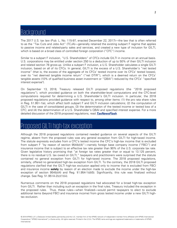### <span id="page-2-0"></span>Background

The 2017 U.S. tax law (Pub. L. No. 115-97, enacted December 22, 2017)—the law that is often referred to as the "Tax Cuts and Jobs Act" (TCJA)—generally retained the existing subpart F regime that applies to passive income and related-party sales and services, and created a new type of inclusion for GILTI, which is based on a broad class of controlled foreign corporation ("CFC") income.

Similar to a subpart F inclusion, "U.S. Shareholders" of CFCs include GILTI in income on an annual basis. U.S. corporations may be entitled under section 250 to a deduction of up to 50% of their GILTI inclusion and related section 78 gross-up. Unlike a subpart F inclusion, a U.S. Shareholder calculates a single GILTI inclusion, based on all of its CFCs. In general, GILTI is the excess of a U.S. Shareholder's "net tested income" (that is, the excess of the aggregate of its CFCs' tested income over its CFCs' tested losses), over its "net deemed tangible income return" ("net DTIR"), which is a deemed return on the CFCs' tangible assets (10% of qualified business asset investment or "QBAI") reduced by the CFCs' "specified interest expense").

On September 13, 2018, Treasury released GILTI proposed regulations (the "2018 proposed regulations"), which provided guidance on both the shareholder-level computations and the CFC-level computations required for determining a U.S. Shareholder's GILTI inclusion. In particular, the 2018 proposed regulations provided guidance with respect to, among other items: (1) the pro rata share rules in Reg. §1.951-1(e), which affect both subpart F and GILTI inclusion calculations; (2) the computation of GILTI in the case of consolidated groups; (3) the determination of the tested income or tested loss of a CFC; and (4) the determination of a U.S. Shareholder's QBAI and specified interest expense. For a more detailed discussion of the 2018 proposed regulations, read **[TaxNewsFlash](https://home.kpmg/us/en/home/insights/2018/10/tnf-kpmg-report-initial-impressions-of-proposed-gilti-regulations.html)**.

# <span id="page-2-1"></span>Proposed GILTI high-tax exception

Although the 2018 proposed regulations contained needed guidance on several aspects of the GILTI regime, absent from the proposed rules was any general exception from GILTI for high-taxed income. The statute expressly excludes from a CFC's tested income the CFC's high-tax income that is excluded from subpart F "by reason of section 954(b)(4)"—namely foreign base company income ("FBCI") and insurance income that is subject to an effective tax rate greater than 90% of the U.S. corporate tax rate. Given legislative history promising that "at foreign tax rates greater than or equal to 13.125 percent, there is no residual U.S. tax owed on GILTI," taxpayers and practitioners were surprised that the statute contained no general exception from GILTI for high-taxed income. The 2018 proposed regulations, similarly, offered no generalized high-tax exception from GILTI. To the contrary, the 2018 GILTI proposed regulations clarified that the GILTI high-tax exclusion applied only to income that is excluded from FBCI and insurance income **solely** by reason of an election made to exclude the income under the high-tax exception of section 954(b)(4) and Reg. §1.954-1(d)(5). Significantly, this rule was finalized without change. See Reg. §1.951A-2(c)(1)(iii).

Numerous comments on the 2018 proposed regulations had advocated for a broad high-tax exception from GILTI. Rather than including such an exception in the final rules, Treasury included the exception in the proposed rules. Thus, these rules—when finalized—would permit taxpayers to elect to exclude additional items (beyond FBCI and insurance income) from gross tested income under a new GILTI hightax exclusion.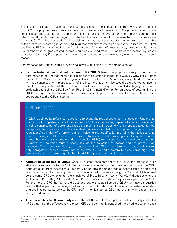Building on the statute's exception for income excluded from subpart F income by reason of section 954(b)(4), the proposed rules provide an election to exclude all items of a CFC's gross income that are subject to an effective rate of foreign income tax greater than 18.9% (i.e., 90% of the U.S. corporate tax rate, currently 21%), without regard to whether the income would otherwise be FBCI or insurance income ("GILTI high-tax exception"). In explaining the statutory authority for the new rule, the preamble notes that there is nothing in section 954(b)(4) that explicitly restricts its application to income that "first qualifies as FBCI or insurance income," and therefore "any item of gross income, including an item that would otherwise be gross tested income, could be excluded from FBCI or insurance income 'by reason of' section 954(b)(4) if the provision is one of the reasons for such exclusion, even if . . . not the sole reason."

The proposed regulations would provide a taxpayer with a single, all-or-nothing election:

**Income tested at the qualified business unit ("QBU") level.** The proposed rules provide that the determination of whether income is eligible for the election is made on a QBU-by-QBU basis, rather than at the CFC-level or by evaluating individual items of income. More specifically, the determination is made separately with respect to all of the income that otherwise would be gross tested income (but for the application of the election) that falls within a single section 904 category and that is attributable to a single QBU. See Prop. Reg. § 1.951A-2(c)(6)(ii)(A)(1). For purposes of determining the QBU's foreign effective tax rate, the FTC rules would apply to determine the taxes allocated and apportioned to the QBU's income.

#### KPMG observation

A QBU is defined by reference to section 989(a) and the regulations under that section. Under that standard, a CFC, partnership or trust is a per se QBU, as well as any separate trade or business for which a separate set of books and records is maintained. Interestingly, the proposed rules do not incorporate the modifications to that standard that were included in the proposed foreign tax credit regulations' definition of a foreign branch, including the modification providing that activities that relate to disregarded transactions are taken into account in determining if a disregarded entity meets the general requirement under the section 989(a) regulations that, to constitute a trade or business, the activities must ordinarily include the collection of income and the payment of expenses. This seems significant, as it potentially allows CFCs with disregarded entities that earn only disregarded income to avoid having separate QBUs and therefore to blend some high- and low-tax income in determining whether the GILTI high-tax exception is met.

- **Attribution of income to QBUs.** Once it is established that there is a QBU, the proposed rules attribute gross income to the QBU that is properly reflected on the books and records of the QBU. Although such gross income must generally be determined under federal income tax principles, the income of the QBU is then adjusted for any disregarded payments among the CFC and QBUs owned by the same CFC-owner under the principles of Prop. Reg. § 1.904-4(f)(2)(vi), without applying the exclusion in Prop. Reg. §1.904-4(f)(2)(vi)(C)(1) for interest and interest equivalents paid by the QBU. For example, a CFC that owns a disregarded entity that qualifies as a QBU may have disregarded income that is paid by the disregarded entity to the CFC, which would have to be tested as an item of gross income attributable to the CFC itself (which is a per se QBU) rather than with respect to the disregarded entity.
- **Election applies to all commonly controlled CFCs.** An election applies to all commonly controlled CFCs that meet the effective tax rate test. CFCs are commonly controlled if the voting power in each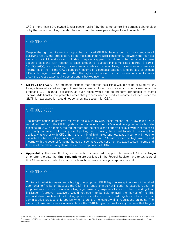CFC is more than 50% owned (under section 958(a)) by the same controlling domestic shareholder or by the same controlling shareholders who own the same percentage of stock in each CFC.

#### KPMG observation

Despite the rigid requirement to apply the proposed GILTI high-tax exception consistently to all qualifying QBUs, the proposed rules do not appear to require consistency between the high-tax elections for GILTI and subpart F. Instead, taxpayers appear to continue to be permitted to make separate elections with respect to each category of subpart F income listed in Reg. § 1.954- 1(c)(1)(iii)(A)(2), such as foreign base company sales income or foreign base company services income, such that, if the CFC's subpart F income in a particular category is taxed at greater than 21%, a taxpayer could decline to elect the high-tax exception for that income in order to cross credit the excess taxes against other general basket income.

• **No FTCs and QBAI.** The preamble clarifies that deemed paid FTCs would not be allowed for any foreign taxes allocated and apportioned to income excluded from tested income by reason of the proposed GILTI high-tax exclusion, as such taxes would not be properly attributable to tested income. Additionally, the preamble notes that property used to produce income excluded under the GILTI high-tax exception would not be taken into account for QBAI.

#### KPMG observation

The determination of effective tax rates on a QBU-by-QBU basis means that a low-taxed QBU would not qualify for the GILTI high-tax exception even if the CFC's overall foreign effective tax rate exceeds 18.9%. In addition, the requirement for the exclusion to apply to all qualifying income of all commonly controlled CFCs will prevent picking and choosing the extent to which the exception applies. A taxpayer with CFCs that have a mix of high-taxed and low-taxed income will need to evaluate the benefit of eliminating any tax under section 951A with respect to high-taxed tested income with the costs of forgoing the use of such taxes against other low-taxed tested income and the use of the related tangible assets in the computation of QBAI.

• **Applicability:** The new GILTI high-tax exception is proposed to apply to tax years of CFCs that **begin** on or after the date that **final regulations** are published in the Federal Register, and to tax years of U.S. Shareholders in which or with which such tax years of foreign corporations end.

### KPMG observation

Contrary to what taxpayers were hoping, the proposed GILTI high-tax exception **cannot** be relied upon prior to finalization because the GILTI final regulations do not include the exception, and the proposed rules do not include any language permitting taxpayers to rely on them pending their finalization. Moreover, taxpayers would not seem to be able to avail themselves of the IRS administrative practice of not taking positions contrary to proposed regulations because that administrative practice only applies when there are no contrary final regulations on point. The election, therefore, remains unavailable for the 2018 tax year as well as any tax year that begins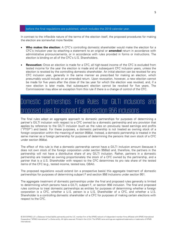#### before the final regulations are published, which includes the 2019 calendar year.

In contrast to the inflexible nature of the terms of the election itself, the proposed procedures for making the election are somewhat more flexible:

- **Who makes the election:** A CFC's controlling domestic shareholder would make the election for a CFC's inclusion year by attaching a statement to an original or **amended** return in accordance with administrative pronouncements, or in accordance with rules provided in forms or instructions. The election is binding on all of the CFC's U.S. Shareholders.
- **Revocation:** Once an election is made for a CFC, all high-taxed income of the CFC is excluded from tested income for the year the election is made and all subsequent CFC inclusion years, unless the election is revoked by the controlling domestic shareholder. An initial election can be revoked for any CFC inclusion year, generally in the same manner as prescribed for making an election, which presumably would include on an amended return. Upon revocation, however, a new election cannot be made for five years after the close of the tax year for which the election was revoked, and, if a new election is later made, that subsequent election cannot be revoked for five years. The Commissioner may allow an exception from this rule if there is a change of control of the CFC.

# <span id="page-5-0"></span>Domestic partnerships: Final Rules for GILTI inclusions and proposed rules for subpart F and section 956 inclusions

The final rules adopt an aggregate approach to domestic partnerships for purposes of determining a partner's GILTI inclusion with respect to a CFC owned by a domestic partnership and any provision that applies by reference to the GILTI inclusion (such as the rules on previously taxed earnings and profits ("PTEP") and basis). For these purposes, a domestic partnership is not treated as owning stock of a foreign corporation within the meaning of section 958(a). Instead, a domestic partnership is treated in the same manner as a foreign partnership for purposes of determining the persons that own stock of a CFC under section 958(a).

The effect of this rule is that a domestic partnership cannot have a GILTI inclusion amount (because it does not own stock of the foreign corporation under section 958(a)) and, therefore, the partners in the partnership will not have a distributive share of any GILTI inclusion. Rather, partners in a domestic partnership are treated as owning proportionately the stock of a CFC owned by the partnership, and a partner that is a U.S. Shareholder with respect to the CFC determines its pro rata share of the tested items of the CFC (e.g., tested income, tested loss, QBAI).

The proposed regulations would extend (on a prospective basis) this aggregate treatment of domestic partnerships for purposes of determining subpart F and section 956 inclusions under section 951.

The aggregate treatment of domestic partnerships under the final and proposed rules generally is limited to determining which persons have a GILTI, subpart F, or section 956 inclusion. The final and proposed rules continue to treat domestic partnerships as entities for purposes of determining whether a foreign corporation is a CFC, whether a U.S. person is a U.S. Shareholder of a CFC, and whether a U.S. Shareholder is a controlling domestic shareholder of a CFC for purposes of making certain elections with respect to the CFC.

© 2019 KPMG LLP, a Delaware limited liability partnership and the U.S. member firm of the KPMG network of independent member firms affiliated with KPMG International Cooperative ("KPMG International"), a Swiss entity. All rights reserved. Printed in the U.S.A. The KPMG name and logo are registered trademarks or trademarks of KPMG International.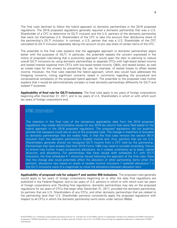The final rules declined to follow the hybrid approach to domestic partnerships in the 2018 proposed regulations. The 2018 proposed regulations generally required a domestic partnership that was a U.S. Shareholder of a CFC to determine its GILTI inclusion and the U.S. partners of the domestic partnership that were not themselves U.S. Shareholders of the CFC to take into account their distributive share of the partnership's GILTI inclusion. In contrast, a U.S. partner that was a U.S. Shareholder of the CFC calculated its GILTI inclusion separately taking into account its pro rata share of certain items of the CFC.

The preamble to the final rules explains that the aggregate approach to domestic partnerships aligns better with the purposes of GILTI. In particular, the preamble repeats the concern expressed in the notice of proposed rulemaking that a pure-entity approach would open the door to planning to reduce overall GILTI inclusions by using domestic partnerships to separate CFCs with high-taxed tested income and tested interest expense from CFCs with low-taxed tested income, QBAI, and tested losses, as well as create traps for the unwary by preventing the use, for example, of tested losses to offset tested income. However, the final rules rejected the hybrid approach, which also would have addressed the foregoing concerns, noting significant concerns raised in comments regarding the procedural and computational complexity of the proposed hybrid approach. The preamble to the proposed rules further explains that it would be administratively complex to treat domestic partnerships differently for GILTI and subpart F purposes.

**Applicability of final rule for GILTI inclusions**. The final rules apply to tax years of foreign corporations beginning after December 31, 2017, and to tax years of U.S. Shareholders in which or with which such tax years of foreign corporations end.

#### KPMG observation

The retention in the final rules of the retroactive applicability date from the 2018 proposed regulations may create administrative issues for any 2018 tax returns that were filed based on the hybrid approach in the 2018 proposed regulations. The proposed regulations did not explicitly provide that taxpayers could rely on any of the proposed rules. The change in treatment is favorable to domestic partnerships that are widely held, in that the final rules remove the section 951A inclusion from the domestic partnership's taxable income and, thus, partners that are not U.S. Shareholders generally should not recognize GILTI income from a CFC held by the partnership. Partnerships that have already filed their 2018 Forms 1065 may need to consider amending. Failure to amend may further impact prospective allocations, as it creates uncertainty as to basis, capital accounts, and allocations. For partnerships that have issued draft schedules K-1 with GILTI inclusions, the final schedules K-1 should be issued following the approach of the final rules. Note that the change also could potentially affect the allocation of other partnership items when the partners' allocations vary based on levels of taxable income inclusions ("waterfall allocations") if the GILTI inclusions were of a magnitude to move the allocations between allocation tiers.

**Applicability of proposed rule for subpart F and section 956 inclusions**. The proposed rules generally would apply to tax years of foreign corporations beginning on or after the date final regulations are published in the Federal Register, and to tax years of U.S. persons in which or with which such tax years of foreign corporations end. Pending final regulations, domestic partnerships may rely on the proposed regulations for tax years of CFCs that begin after December 31, 2017, provided the domestic partnership, its partners that are U.S. Shareholders of any CFCs, and other domestic partnerships that are related to the partnership (and their U.S. Shareholder partners) consistently apply the proposed regulations with respect to all CFCs in which the domestic partnership owns stock under section 958(a).

<sup>© 2019</sup> KPMG LLP, a Delaware limited liability partnership and the U.S. member firm of the KPMG network of independent member firms affiliated with KPMG International Cooperative ("KPMG International"), a Swiss entity. All rights reserved. Printed in the U.S.A. The KPMG name and logo are registered trademarks or trademarks of KPMG International.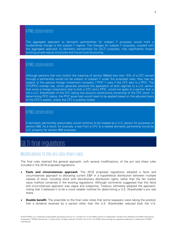#### KPMG observation

The aggregate approach to domestic partnerships for subpart F purposes would mark a fundamental change to the subpart F regime. The changes for subpart F purposes, coupled with the aggregate approach to domestic partnerships for GILTI purposes, may significantly impact existing private equity structures and future fund structuring.

#### KPMG observation

Although partners that own (within the meaning of section 958(a)) less than 10% of a CFC owned through a partnership would not be subject to subpart F under the proposed rules, they may be subject to the passive foreign investment company ("PFIC") rules if the CFC also is a PFIC. The CFC/PFIC overlap rule, which generally prevents the application of both regimes to a U.S. person that owns a foreign corporation that is both a CFC and a PFIC, would not apply to a partner that is not a U.S. Shareholder of the CFC taking into account constructive ownership of the CFC stock. In determining PFIC status, the PFIC asset test would need to be applied based on the adjusted basis of the CFC's assets, unless the CFC is publicly traded.

#### KPMG observation

A domestic partnership presumably would continue to be treated as a U.S. person for purposes of section 956. As a result, for example, a loan from a CFC to a related domestic partnership would be U.S. property for section 956 purposes.

# <span id="page-7-0"></span>GILTI final regulations

#### <span id="page-7-1"></span>Modifications to the pro rata share rules

The final rules retained the general approach, with several modifications, of the pro rata share rules included in the 2018 proposed regulations.

- Facts and circumstances approach. The 2018 proposed regulations adopted a facts and circumstances approach to allocating current E&P in a hypothetical distribution between multiple classes of stock, including stock with discretionary distribution rights, rather than the fair market value method contained in the existing regulations. Although comments suggested that this facts and circumstances approach was vague and subjective, Treasury ultimately adopted the approach, noting that it believed it to be a more reliable method for determining a U.S. Shareholder's pro rata share.
- **Double benefit.** The preamble to the final rules notes that some taxpayers were taking the position that a dividend received by a person other than the U.S. Shareholder reduced both the U.S.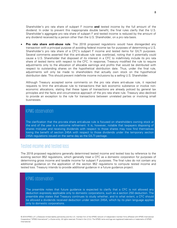Shareholder's pro rata share of subpart F income **and** tested income by the full amount of the dividend. In order to prevent this inappropriate double benefit, the final rules clarify that the U.S. Shareholder's aggregate pro rata share of subpart F and tested income is reduced by the amount of any dividend received by a person other than the U.S. Shareholder, on a pro rata basis.

• **Pro rata share anti-abuse rule**. The 2018 proposed regulations would have disregarded any transaction with a principal purpose of avoiding federal income tax for purposes of determining a U.S. Shareholder's pro rata share of a CFC's subpart F income and tested items for GILTI purposes. Several comments asserted that this anti-abuse rule was overbroad, noting that it potentially could cause a U.S. Shareholder that disposed of its interest in a CFC to indefinitely include its pro rata share of tested items with respect to the CFC. In response, Treasury modified the rule to require adjustments only to the allocation of allocable earnings and profits that would be distributed with respect to outstanding shares on the hypothetical distribution date. Thus, under the final rule, adjustments will only be made to shareholders that actually own stock on the hypothetical distribution date. This should prevent indefinite income inclusions by a selling U.S. Shareholder.

Although Treasury accepted some comments on the pro rata share anti-abuse rule, it rejected requests to limit the anti-abuse rule to transactions that lack economic substance or involve noneconomic allocations, stating that these types of transactions are already policed by general tax principles and the facts and circumstance approach of the pro rata share rule. Treasury also declined to provide an exception to the rule for transactions between unrelated parties or involving small businesses.

#### KPMG observation

The clarification that the pro-rata share anti-abuse rule is focused on shareholders owning stock at the end of the year is a welcome refinement. It is, however, notable that taxpayers disposing of shares mid-year and receiving dividends with respect to those shares may now find themselves losing the benefit of section 245A with respect to those dividends under the temporary section 245A regulations issued on the same day as the GILTI package.

#### <span id="page-8-0"></span>Tested income and tested loss

The 2018 proposed regulations generally determined tested income and tested loss by reference to the existing section 952 regulations, which generally treat a CFC as a domestic corporation for purposes of determining gross income and taxable income for subpart F purposes. The final rules do not contain any additional guidance on the application of the section 952 regulations to compute tested income and tested loss. Treasury intends to provide additional guidance in a future guidance project.

### KPMG observation

The preamble notes that future guidance is expected to clarify that a CFC is not allowed any deduction expressly applicable only to domestic corporations, such as a section 250 deduction. The preamble also states that Treasury continues to study whether, and to what extent, a CFC should be allowed a dividends received deduction under section 245A, which by its plain language applies only to domestic corporations.

© 2019 KPMG LLP, a Delaware limited liability partnership and the U.S. member firm of the KPMG network of independent member firms affiliated with KPMG International Cooperative ("KPMG International"), a Swiss entity. All rights reserved. Printed in the U.S.A. The KPMG name and logo are registered trademarks or trademarks of KPMG International.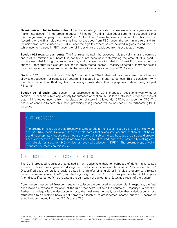**De minimis and full inclusion rules.** Under the statute, gross tested income excludes any gross income "taken into account" in determining subpart F income. The final rules adopt comments suggesting that the foreign base company "de minimis" and "full inclusion" rules be taken into account for this purpose. Accordingly, the final rules clarify that income excluded from FBCI under the de minimis rule and full inclusion amounts excluded from FBCI under the high-tax exception are included in gross tested income, while income included in FBCI under the full inclusion rule is excluded from gross tested income.

**Section 952 recapture amounts.** The final rules maintain the proposed rule providing that the earnings and profits limitation in subpart F is not taken into account in determining the amount of subpart F income excluded from gross tested income, and that amounts included in subpart F income under the subpart F recapture rule also are included in gross tested income. Treasury rejected a comment asking for an exception for recaptured amounts that relate to income earned in pre-TCJA years.

**Section 367(d).** The final rules "clarify" that section 367(d) deemed payments are treated as an allowable deduction for purposes of determining tested income and tested loss. This is consistent with the rule in the section 367(d) regulations allowing a similar deduction for purposes of determining subpart F income.

**Section 961(c) basis.** One concern not addressed in the 2018 proposed regulations was whether section 961(c) basis (which applies only for purposes of section 951) is taken into account for purposes of determining tested income from the disposition of stock in a lower-tier CFC by an upper-tier CFC. The final rules continue to defer this issue, promising that guidance will be included in the forthcoming PTEP guidance.

#### KPMG observation

The preamble makes clear that Treasury is sympathetic to the issues raised by the lack of clarity on section 961(c) basis. However, the preamble notes that taking into account section 961(c) basis could inappropriately reduce the amount of stock gain subject to tax, because the sale could create E&P (since section 961(c) basis is not taken into account for E&P purposes), potentially making any gain eligible for a section 245A dividends received deduction ("DRD"). The preamble specifically requests comments on this issue.

#### <span id="page-9-0"></span>Tested income and tested loss anti-abuse rule

The 2018 proposed regulations contained an anti-abuse rule that, for purposes of determining tested income or tested loss, generally disregarded deductions or loss attributable to "disqualified basis." Disqualified basis generally is basis created in a transfer of tangible or intangible property to a related person between January 1, 2018, and the beginning of a fiscal CFC's first tax year to which GILTI applies (the "disqualified period"), to the extent the gain was not subject to U.S. tax as a result of the transfer.

Commenters questioned Treasury's authority to issue the proposed anti-abuse rule. In response, the final rules include a revised formulation of the rule "that better reflects the source of [Treasury's] authority." Rather than disqualify the deduction or loss, the final rules generally provide that a deduction or loss attributable to disqualified basis is not "properly allocable" to gross tested income, subpart F income or effectively connected income ("ECI") of the CFC.

<sup>© 2019</sup> KPMG LLP, a Delaware limited liability partnership and the U.S. member firm of the KPMG network of independent member firms affiliated with KPMG International Cooperative ("KPMG International"), a Swiss entity. All rights reserved. Printed in the U.S.A. The KPMG name and logo are registered trademarks or trademarks of KPMG International.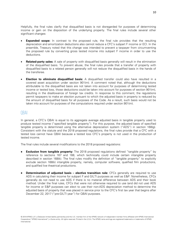Helpfully, the final rules clarify that disqualified basis is not disregarded for purposes of determining income or gain on the disposition of the underlying property. The final rules include several other significant changes:

- **Expanded scope:** In contrast to the proposed rule, the final rule provides that the resulting depreciation and amortization deductions also cannot reduce a CFC's subpart F income or ECI. In the preamble, Treasury noted that this change was intended to prevent a taxpayer from circumventing the proposed rule by converting gross tested income into subpart F income in order to use the deductions.
- **Related-party sales:** A sale of property with disqualified basis generally will result in the elimination of the disqualified basis. To prevent abuse, the final rules provide that a transfer of property with disqualified basis to a related person generally will not reduce the disqualified basis in the hands of the transferee.
- **Election to eliminate disqualified basis:** A disqualified transfer could also have resulted in a covered asset acquisition under section 901(m). A comment noted that, although the deductions attributable to the disqualified basis are not taken into account for purposes of determining tested income or tested loss, those deductions could be taken into account for purposes of section 901(m), resulting in the disallowance of foreign tax credits. In response to this comment, the regulations permit taxpayers to make an election pursuant to which the adjusted basis in property is reduced by the amount of disqualified basis for all purposes of the Code. As a result, such basis would not be taken into account for purposes of the computations required under section 901(m).

#### <span id="page-10-0"></span>QBAI

In general, a CFC's QBAI is equal to its aggregate average adjusted basis in tangible property used to produce tested income ("specified tangible property"). For this purpose, the adjusted basis of specified tangible property is determined using the alternative depreciation system ("ADS") in section 168(g). Consistent with the statute and the 2018 proposed regulations, the final rules provide that a CFC with a tested loss cannot have QBAI because a tested loss CFC's property is not used in the production of tested income.

The final rules include several modifications to the 2018 proposed regulations:

- **Exclusion from tangible property:** The 2018 proposed regulations defined "tangible property" by reference to sections 167 and 168, which technically could include certain intangible property described in section 168(k). The final rules modify the definition of "tangible property" to explicitly exclude section 168(k) intangible property, namely, computer software, qualified film productions, and qualified live theatrical productions.
- **Determination of adjusted basis elective transition rule:** CFCs generally are required to use ADS in calculating their income for subpart F and GILTI purposes as well as E&P. Nonetheless, CFCs generally do not need to use ADS if there is no material difference between ADS and their book method. Under the final rules, CFCs that were not otherwise required to use (and did not use) ADS for income or E&P purposes can elect to use their non-ADS depreciation method to determine the adjusted basis of property that was placed in service prior to the CFC's first tax year that begins after December 22, 2017 ("pre-GILTI year") for QBAI purposes.

<sup>© 2019</sup> KPMG LLP, a Delaware limited liability partnership and the U.S. member firm of the KPMG network of independent member firms affiliated with KPMG International Cooperative ("KPMG International"), a Swiss entity. All rights reserved. Printed in the U.S.A. The KPMG name and logo are registered trademarks or trademarks of KPMG International.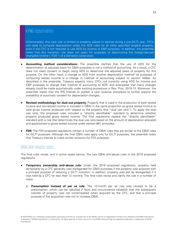### KPMG observation

Unfortunately, this new rule is limited to property placed in service during a pre-GILTI year. CFCs will need to compute depreciation under the ADS rules for all other specified tangible property, even if the CFC is not required to use ADS for income or E&P purposes. In addition, the preamble notes that this transition rule does not apply for purposes of determining the foreign-derived intangible income ("FDII") of a domestic corporation.

- **Accounting method considerations:** The preamble clarifies that the use of ADS for the determination of adjusted basis for QBAI purposes is not a method of accounting. As a result, a CFC does not need consent to begin using ADS to determine the adjusted basis of property for this purpose. On the other hand, a change to ADS from another depreciation method for purposes of computing tested income is a change in method of accounting subject to section 446(e). As described in the preamble, Treasury expects many CFCs not currently using ADS for income and E&P purposes to change their method of accounting to ADS, and anticipates that many changes already could be made automatically under existing procedures in Rev. Proc. 2015-13. Moreover, the preamble states that the IRS intends to publish a new revenue procedure to further expand the availability of automatic consent for depreciation changes.
- **Revised methodology for dual use property:** Property that is used in the production of both tested income and non-tested income is included in QBAI in the same proportion as gross tested income to total gross income produced with respect to the property (the "dual use ratio"). To apply the dual use ratio, the proposed rules included a "directly identifiable" standard to determine whether property produced gross tested income. The final regulations replace the "directly identifiable" standard with a rule that determines the dual use ratio based on the amount of depreciation allocated and apportioned to gross tested income under section 861 principles.
- **FDII:** The FDII proposed regulations contain a number of QBAI rules that are similar to the QBAI rules for GILTI purposes. Although the final QBAI rules apply only for GILTI purposes, the preamble notes that Treasury intends to make similar revisions for FDII purposes.

#### <span id="page-11-0"></span>QBAI anti-abuse rules

The final rules revise, and in some cases narrow, the two QBAI anti-abuse rules in the 2018 proposed regulations.

- **Temporary ownership anti-abuse rule:** Under the 2018 proposed regulations, property held temporarily by a CFC generally was disregarded for QBAI purposes if the property was acquired with a principal purpose of reducing a GILTI inclusion. In addition, property was per se disregarded if it was held by a CFC for less than 12 months. The final rules revise and clarify the rule in a number of ways:
	- o **Presumption instead of per se rule:** The 12-month per se rule was revised to be a presumption, which can be rebutted if facts and circumstance establish that the subsequent transfer of property was not contemplated when acquired by the CFC, and that a principal purpose of the acquisition was not to increase QBAI.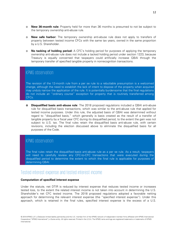- o **New 36-month rule:** Property held for more than 36 months is presumed to not be subject to the temporary ownership anti-abuse rule.
- o **New safe harbor:** The temporary ownership anti-abuse rule does not apply to transfers of property between tested income CFCs with the same tax years, owned in the same proportion by a U.S. Shareholder.
- o **No tacking of holding period:** A CFC's holding period for purposes of applying the temporary ownership anti-abuse rule does not include a tacked holding period under section 1223, because Treasury is equally concerned that taxpayers could artificially increase QBAI through the temporary transfer of specified tangible property in nonrecognition transactions.

#### KPMG observation

The revision of the 12-month rule from a per se rule to a rebuttable presumption is a welcomed change, although the need to establish the lack of intent to dispose of the property when acquired may unduly narrow the application of the rule. It is potentially burdensome that the final regulations do not include an "ordinary course" exception for property that is routinely transferred among CFCs.

**o Disqualified basis anti-abuse rule**: The 2018 proposed regulations included a QBAI anti-abuse rule for disqualified basis transactions, which was similar to the anti-abuse rule that applied for tested income purposes. Under this rule, the adjusted basis of QBAI was determined without regard to "disqualified basis," which generally is basis created as the result of a transfer of tangible property by a fiscal year CFC during its disqualified period, to the extent the gain was not subject to U.S. tax. The final rules retain the disqualified basis anti-abuse rule, with certain revisions, including the election discussed above to eliminate the disqualified basis for all purposes of the Code.

#### KPMG observation

The final rules retain the disqualified basis anti-abuse rule as a per se rule. As a result, taxpayers will need to carefully review any CFC-to-CFC transactions that were executed during the disqualified period to determine the extent to which the final rule is applicable for purposes of determining QBAI.

#### <span id="page-12-0"></span>Tested interest expense and tested interest income

#### **Computation of specified interest expense**

Under the statute, net DTIR is reduced by interest expense that reduces tested income or increases tested loss, to the extent the related interest income is not taken into account in determining the U.S. Shareholder's net CFC tested income. The 2018 proposed regulations adopted a favorable netting approach for determining the relevant interest expense (the "specified interest expense"). Under this approach, which is retained in the final rules, specified interest expense is the excess of a U.S.

<sup>© 2019</sup> KPMG LLP, a Delaware limited liability partnership and the U.S. member firm of the KPMG network of independent member firms affiliated with KPMG International Cooperative ("KPMG International"), a Swiss entity. All rights reserved. Printed in the U.S.A. The KPMG name and logo are registered trademarks or trademarks of KPMG International.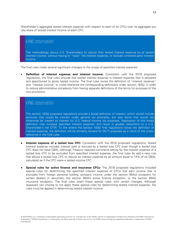Shareholder's aggregate tested interest expense with respect to each of its CFCs over its aggregate pro rata share of tested interest income of each CFC.

#### KPMG observation

The methodology allows U.S. Shareholders to reduce their tested interest expense by all tested interest income, without having to "trace" the interest expense, or exclude unrelated party interest income.

The final rules made several significant changes to the scope of specified interest expense:

**Definition of interest expense and interest income:** Consistent with the 2018 proposed regulations, the final rules provide that tested interest expense is interest expense that is allocated and apportioned to gross tested income. The final rules revise the definition of "interest expense" and "interest income" to cross-reference the corresponding definitions under section 163(j), in order to reduce administrative complexity from having separate definitions of the terms for purposes of the two provisions.

#### KPMG observation

The section 163(j) proposed regulations provide a broad definition of interest, which would include amounts that would be interest under general tax principles, but also items that would not otherwise be treated as interest for U.S. federal income tax purposes. Application of this broad definition may increase specified interest expense, and result in greater reductions to a U.S. Shareholder's net DTIR. To the extent the section 163(j) final regulations revise the definition of interest expense, the definition will be similarly revised for GILTI purposes as a result of the crossreference in the final rules.

- **Interest expense of a tested loss CFC:** Consistent with the 2018 proposed regulations, tested interest expense includes interest paid or accrued by a tested loss CFC even though a tested loss CFC does not have QBAI. Although Treasury rejected comments asking for the interest expense of a tested loss CFC to be excluded from specified interest expense, the final rules do add a new rule that allows a tested loss CFC to reduce its interest expense by an amount equal to 10% of its QBAI, calculated as if the CFC were a tested income CFC.
- **Special rules for active finance and insurance CFCs:** The 2018 proposed regulations included special rules for determining the specified interest expense of CFCs that earn income that is excluded from foreign personal holding company income under the section 954(c) exception for certain dealers in securities, the section 954(h) active finance exception, or the section 954(i) insurance exception. The final rules retain these special rules, with certain changes. Although taxpayers can choose to not apply these special rules for determining tested interest expense, the rules must be applied in determining tested interest income.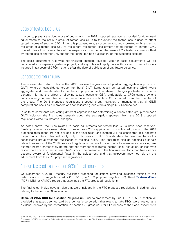### <span id="page-14-0"></span>Basis of tested loss CFCs

In order to prevent the double use of deductions, the 2018 proposed regulations provided for downward adjustments to the basis in stock of tested loss CFCs to the extent the tested loss is used to offset tested income of another CFC. Under this proposed rule, a suspense account is created with respect to the stock of a tested loss CFC to the extent the tested loss offsets tested income of another CFC. Special rules allow for recapture of the suspense account when the same CFC's tested income is offset by tested loss of another CFC and for the tiering (but non-duplication) of the suspense account.

The basis adjustment rule was not finalized. Instead, revised rules for basis adjustments will be considered in a separate guidance project, and any rules will apply only with respect to tested losses incurred in tax years of CFCs that end **after** the date of publication of any future guidance.

#### <span id="page-14-1"></span>Consolidated return rules

The consolidated return rules in the 2018 proposed regulations adopted an aggregation approach to GILTI, whereby consolidated group members' GILTI items (such as tested loss and QBAI) were aggregated and then allocated to members in proportion to their share of the group's tested income. In general, this had the effect of allowing tested losses or QBAI attributable to CFCs owned by one consolidated group member to offset tested income attributable to CFCs owned by another member of the group. The 2018 proposed regulations stopped short, however, of mandating that all GILTI computations occur as if members of a consolidated group were a single U.S. Shareholder.

In spite of comments requesting different approaches for determining a consolidated group member's GILTI inclusion, the final rules generally adopt the aggregation approach from the 2018 proposed regulations without substantial changes.

As noted above, the rules related to basis adjustments for tested loss CFCs have been reserved. Similarly, special basis rules related to tested loss CFCs applicable to consolidated groups in the 2018 proposed regulations are not included in the final rules, and instead will be considered in a separate project. Any future rules will apply only to tax years of U.S. Shareholders that are members of a consolidated group after the publication of the final rules. The final rules also do not finalize certain related provisions of the 2018 proposed regulations that would have treated a member as receiving taxexempt income immediately before another member recognizes income, gain, deduction, or loss with respect to a share of the first member's stock. The preamble to the final rules explains that Treasury has become aware of fundamental flaws in the adjustment, and that taxpayers may not rely on the adjustment from the 2018 proposed regulations.

#### <span id="page-14-2"></span>Foreign tax credit and section 965(n) final regulations

On December 7, 2018, Treasury published proposed regulations providing guidance relating to the determination of foreign tax credits ("FTCs") (the "FTC proposed regulations"). Read **[TaxNewsFlash](https://home.kpmg/content/dam/kpmg/us/pdf/2018/11/tnf-kpmg-report-ftc-nov30-2018.pdf)** [PDF 1 MB] for KPMG's report that examines the FTC proposed regulations.

The final rules finalize several rules that were included in the FTC proposed regulations, including rules relating to the section 965(n) election.

**Denial of 245A DRD for a section 78 gross-up.** Prior to amendment by Pub. L. No. 155-97, section 78 provided that taxes deemed paid by a domestic corporation that elects to take FTCs were treated as a dividend received by the corporation (a "section 78 gross-up") for all purposes of the Code, except with

<sup>© 2019</sup> KPMG LLP, a Delaware limited liability partnership and the U.S. member firm of the KPMG network of independent member firms affiliated with KPMG International Cooperative ("KPMG International"), a Swiss entity. All rights reserved. Printed in the U.S.A. The KPMG name and logo are registered trademarks or trademarks of KPMG International.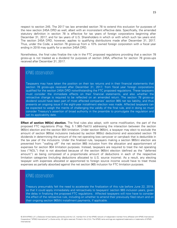respect to section 245. The 2017 tax law amended section 78 to extend this exclusion for purposes of the new section 245A DRD as well, albeit with an inconsistent effective date. Specifically, the amended statutory definition in section 78 is effective for tax years of foreign corporations beginning after December 31, 2017, and for tax years of U.S. Shareholders in which or with which such tax years end. The section 245A DRD, however, applies to qualifying distributions made after December 31, 2017. Thus, under the Code, a section 78 gross-up from a 10% owned foreign corporation with a fiscal year ending in 2018 may qualify for a section 245A DRD.

Nonetheless, the final rules finalize the rule in the FTC proposed regulations providing that a section 78 gross-up is not treated as a dividend for purposes of section 245A, effective for section 78 gross-ups received after December 31, 2017.

#### KPMG observation

Taxpayers may have taken the position on their tax returns and in their financial statements that section 78 gross-ups received after December 31, 2017, from fiscal year foreign corporations qualified for the section 245A DRD notwithstanding the FTC proposed regulations. These taxpayers must consider the immediate effects on their financial statements, and also whether the retroactive change is required to be reflected on an amended return. The section 78 gross-up dividend would have been part of most affected companies' section 965 net tax liability, and thus presents an ongoing issue if the eight-year installment election was made. Affected taxpayers can be expected to weigh the merits of challenging the validly of the final rule, and in doing so must consider Treasury's assertion of broad authority in the preamble to promulgate the regulation and set its applicability date.

**Effect of section 965(n) election.** The final rules also adopt, with some modification, the part of the proposed FTC regulations (Prop. Reg. § 1.965-7(e)(1)) addressing the interaction between the section 965(n) election and the section 904 limitation. Under section 965(n), a taxpayer may elect to exclude the amount of section 965(a) inclusions (reduced by section 965(c) deductions) and associated section 78 dividends in determining the amount of the net operating loss carryover or carryback that is deductible in the tax year of the inclusions. Under the finalized rule, taxpayers making a section 965(n) election are prevented from "walling off" the net section 965 inclusion from the allocation and apportionment of expenses for section 904 limitation purposes. Instead, taxpayers are required to treat the net operating loss ("NOL") that is not absorbed because of the section 965(n) election (defined as the "deferred amount") as being composed of a proportionate amount of deductions in each of the respective limitation categories (including deductions allocated to U.S. source income). As a result, any electing taxpayer with expenses allocated or apportioned to foreign source income would have to treat those expenses as partially absorbed against the net section 965 inclusion for FTC limitation purposes.

### KPMG observation

Treasury presumably felt the need to accelerate the finalization of this rule before June 22, 2019, so that it could apply immediately and retroactively to taxpayers' section 965 inclusion years, given the delay in finalizing the proposed FTC regulations. Affected taxpayers will now have to consider the effect of the retroactive rule, including on whether to amend their previously filed return and on their ongoing section 965(h) installment payments, if applicable.

<sup>© 2019</sup> KPMG LLP, a Delaware limited liability partnership and the U.S. member firm of the KPMG network of independent member firms affiliated with KPMG International Cooperative ("KPMG International"), a Swiss entity. All rights reserved. Printed in the U.S.A. The KPMG name and logo are registered trademarks or trademarks of KPMG International.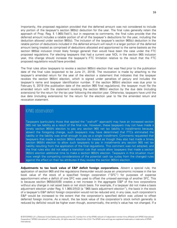Importantly, the proposed regulation provided that the deferred amount was not considered to include any portion of the taxpayer's section 965(c) deduction for the year. The final rules generally retain the approach of Prop. Reg. § 1.965-7(e)(1), but in response to comments, the final rules provide that the deferred amount includes a ratable portion of all of the taxpayer's deductions for the year, including the deduction allowed under section 965(c). The inclusion of the taxpayer's section 965(c) deduction in the ratable portion of deductions included in the deferred amount will result in a larger portion of the deferred amount being treated as comprised of deductions allocated and apportioned to the same baskets as the section 965(a) inclusion (most likely foreign general) than would have been the case under the FTC proposed regulations. For electing taxpayers that had a current year NOL in the section 965 inclusion year, this change should increase the taxpayer's FTC limitation relative to the result that the FTC proposed regulations would have provided.

The final rules allow taxpayers to revoke a section 965(n) election that was filed prior to the publication date of the final rules (expected to be June 21, 2019). The revocation is made by attaching to the taxpayer's amended return for the year of the election a statement that indicates that the taxpayer revokes the section 965(n) election, which is signed under penalties of perjury and includes the taxpayer's name and taxpayer identification number. If the section 965(n) election was due prior to February 5, 2019 (the publication date of the section 965 final regulations), the taxpayer must file the amended return with the statement revoking the section 965(n) election by the due date (including extensions) for the return for the tax year following the election year. Otherwise, taxpayers have until the due date (including extensions) for the return for the election year to file the amended return and revocation statement.

#### KPMG observation

Taxpayers (particularly those that applied the "wall-off" approach) may have an increased section 965 net tax liability as a result of the final rule. However, these taxpayers may not have made a timely section 965(h) election to pay any section 965 net tax liability in installments because, absent the foregoing change, such taxpayers may have determined that FTCs eliminated the liability or the liability was small enough to pay as a single installment. Comments requested that taxpayers that made a section 965(n) election be treated as though they also had made a timely section 965(h) election to allow such taxpayers to pay in installments any section 965 net tax liability resulting from the application of the final regulations. This comment was not adopted, and the final rules also did not adopt a transition rule that would allow taxpayers that made a section 965(n) election additional time to make a section 965(h) election. Taxpayers in this situation must now weigh the competing considerations of the potential cash tax outlay from the changed rules against the effect on their tax attributes if they revoke the section 965(n) election.

**Adjustments to tax book value of E&P deficit foreign corporations.** Absent a special rule, the application of section 965 and the regulations thereunder would cause an uneconomic increase in the tax book value of the stock of a specified foreign corporation ("SFC") for purposes of expense apportionment when a deficit of one SFC was used to offset the untaxed earnings of another SFC. This is because section 965(b)(4)(B) creates a net increase in the aggregate E&P of the two corporations without any change in net asset basis or net stock basis. For example, if a taxpayer did not make a basis adjustment election under Reg. § 1.965-2(f)(2) (a "965 basis adjustment election"), the basis in the stock of a taxpayer's E&P deficit foreign corporation would not be reduced and, in any case, such corporation's E&P would be increased to the extent that the corporation's specified deficit was utilized to offset deferred foreign income. As a result, the tax book value of the corporation's stock (which generally is reduced by deficits) would be higher even though, economically, the entity's value has not changed. If a

© 2019 KPMG LLP, a Delaware limited liability partnership and the U.S. member firm of the KPMG network of independent member firms affiliated with KPMG International Cooperative ("KPMG International"), a Swiss entity. All rights reserved. Printed in the U.S.A. The KPMG name and logo are registered trademarks or trademarks of KPMG International.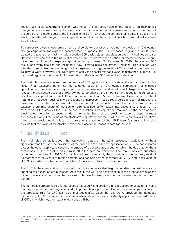section 965 basis adjustment election was made, the tax book value of the stock of an E&P deficit foreign corporation may not be distorted because such election would cause a reduction in the basis of the corporation's stock equal to the increase in its E&P; however, the corresponding basis increase in the stock of a deferred foreign income corporation could cause that corporation's tax book value to instead be distorted.

To correct for these uneconomic effects and solely for purposes of valuing the stock of a 10% owned foreign corporation for expense apportionment purposes, the FTC proposed regulations would have treated the taxpayer as having made a section 965 basis adjustment election even if it had not done so. However, any increase in the basis of the stock that results from the election (or deemed election) would have been excluded for expense apportionment purposes. On February 5, 2019, the section 965 regulations were finalized and included a new "limited basis adjustment" election. This election was intended to minimize the gain recognized by taxpayers making the section 965 basis adjustment election. Taxpayers were, however, unsure of how to apply the special tax book value adjustment rule in the FTC proposed regulations as a result of the addition of the section 965 limited basis election.

The final rules reverse course from the proposed FTC regulations and provide a different approach to this issue. First, taxpayers determine the adjusted basis of a 10% owned corporation for expense apportionment purposes as if they did not make the basis election (limited or full). Taxpayers must then reduce the unadjusted basis of a 10% owned corporation by the amount of any reduction required as a result of the application of the full (i.e., not limited) section 965 basis adjustment election and without netting the reduction against any corresponding increases in basis required as a result of making the basis election (limited or otherwise). The amount of this reduction would equal the amount of a taxpayer's pro rata share of the section 965 specified deficit taken into account as a result of its ownership of the stock of the 10% owned corporation. This adjustment may reduce the basis of such stock below zero for purposes of determining the basis of the stock for expense apportionment purposes, but only if the value of the stock after adjustment for the "E&P bump" is not below zero. If the value of the stock would be less than zero after the addition of the "E&P bump", then the final rules provide that the value of the stock for expense allocation purposes is zero for the year.

#### <span id="page-17-0"></span>Applicability dates and reliance

The final rules generally adopt the applicability dates of the 2018 proposed regulations, without significant modification. The provisions of the final rules related to the application of GILTI to consolidated groups, however, apply to tax years of members of a consolidated group for which the due date (without extensions) of the consolidated return is after the date on which the final regulations are published (expected to be June 21, 2019). A consolidated group may apply the provisions in their entirety to all of its members for tax years of foreign corporations beginning after December 31, 2017, and to tax years of U.S. Shareholders in which or with which such tax years of foreign corporations end.

The GILTI high-tax exception is proposed to apply to tax years that begin on or after the final regulations adopting the exception are published. As a result, the GILTI high-tax election in the proposed regulations will not be available until after the proposed rules are finalized, and may not be relied on in the interim period.

The domestic partnership rule for purposes of subpart F and section 956 is proposed to apply to tax years that begin on or after final regulations adopting the rule are published. Domestic partnerships may rely on the proposed rule for CFC tax years that begin after December 31, 2017, provided the domestic partnership, U.S. Shareholder partners, and certain related parties consistently apply the proposed rule to all CFCs in which they own stock under section 958(a).

<sup>© 2019</sup> KPMG LLP, a Delaware limited liability partnership and the U.S. member firm of the KPMG network of independent member firms affiliated with KPMG International Cooperative ("KPMG International"), a Swiss entity. All rights reserved. Printed in the U.S.A. The KPMG name and logo are registered trademarks or trademarks of KPMG International.